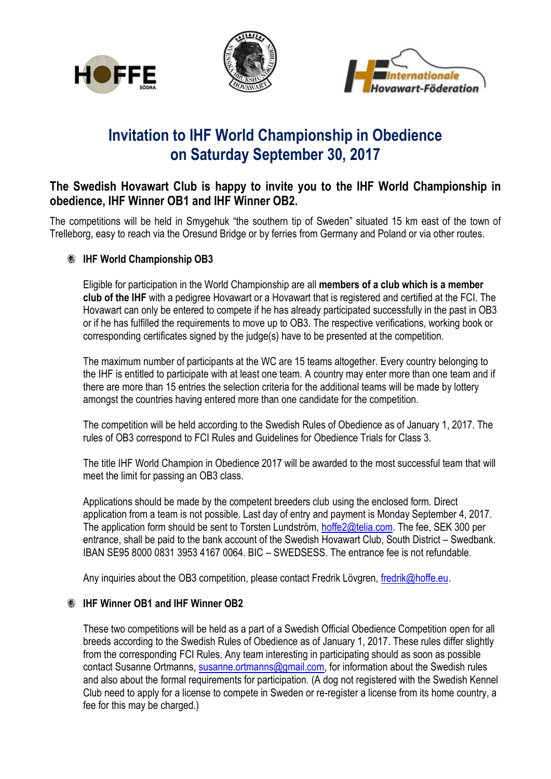





## **Invitation to IHF World Championship in Obedience on Saturday September 30, 2017**

## **The Swedish Hovawart Club is happy to invite you to the IHF World Championship in obedience, IHF Winner OB1 and IHF Winner OB2.**

The competitions will be held in Smygehuk "the southern tip of Sweden" situated 15 km east of the town of Trelleborg, easy to reach via the Oresund Bridge or by ferries from Germany and Poland or via other routes.

## **EXAMPLE World Championship OB3**

Eligible for participation in the World Championship are all **members of a club which is a member club of the IHF** with a pedigree Hovawart or a Hovawart that is registered and certified at the FCI. The Hovawart can only be entered to compete if he has already participated successfully in the past in OB3 or if he has fulfilled the requirements to move up to OB3. The respective verifications, working book or corresponding certificates signed by the judge(s) have to be presented at the competition.

The maximum number of participants at the WC are 15 teams altogether. Every country belonging to the IHF is entitled to participate with at least one team. A country may enter more than one team and if there are more than 15 entries the selection criteria for the additional teams will be made by lottery amongst the countries having entered more than one candidate for the competition.

The competition will be held according to the Swedish Rules of Obedience as of January 1, 2017. The rules of OB3 correspond to FCI Rules and Guidelines for Obedience Trials for Class 3.

The title IHF World Champion in Obedience 2017 will be awarded to the most successful team that will meet the limit for passing an OB3 class.

Applications should be made by the competent breeders club using the enclosed form. Direct application from a team is not possible. Last day of entry and payment is Monday September 4, 2017. The application form should be sent to Torsten Lundström, [hoffe2@telia.com.](mailto:hoffe2@telia.com) The fee, SEK 300 per entrance, shall be paid to the bank account of the Swedish Hovawart Club, South District – Swedbank. IBAN SE95 8000 0831 3953 4167 0064. BIC – SWEDSESS. The entrance fee is not refundable.

Any inquiries about the OB3 competition, please contact Fredrik Lövgren, [fredrik@hoffe.eu.](mailto:fredrik@hoffe.eu)

## **EXAMPLE WINNER OB1 and IHF Winner OB2**

These two competitions will be held as a part of a Swedish Official Obedience Competition open for all breeds according to the Swedish Rules of Obedience as of January 1, 2017. These rules differ slightly from the corresponding FCI Rules. Any team interesting in participating should as soon as possible contact Susanne Ortmanns, [susanne.ortmanns@gmail.com,](mailto:susanne.ortmanns@gmail.com) for information about the Swedish rules and also about the formal requirements for participation. (A dog not registered with the Swedish Kennel Club need to apply for a license to compete in Sweden or re-register a license from its home country, a fee for this may be charged.)